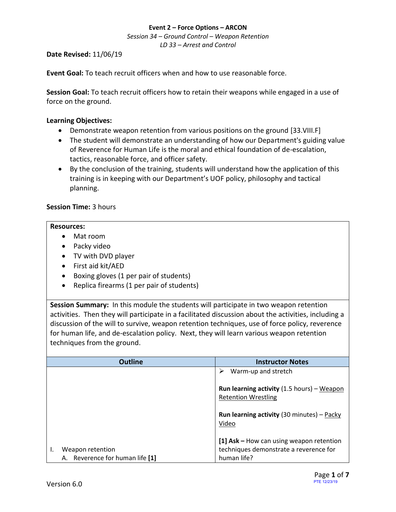*Session 34 – Ground Control – Weapon Retention LD 33 – Arrest and Control*

### **Date Revised:** 11/06/19

**Event Goal:** To teach recruit officers when and how to use reasonable force.

**Session Goal:** To teach recruit officers how to retain their weapons while engaged in a use of force on the ground.

### <span id="page-0-0"></span>**Learning Objectives:**

- [Demonstrate weapon retention from various positions on the ground](#page-1-0) [33.VIII.F]
- The student will demonstrate an understanding of how our Department's guiding value of Reverence for Human Life is the moral and ethical foundation of de-escalation, tactics, reasonable force, and officer safety.
- By the conclusion of the training, students will understand how the application of this training is in keeping with our Department's UOF policy, philosophy and tactical planning.

### **Session Time:** 3 hours

### **Resources:**

- Mat room
- Packy video
- TV with DVD player
- First aid kit/AED
- Boxing gloves (1 per pair of students)
- Replica firearms (1 per pair of students)

**Session Summary:** In this module the students will participate in two weapon retention activities. Then they will participate in a facilitated discussion about the activities, including a discussion of the will to survive, weapon retention techniques, use of force policy, reverence for human life, and de-escalation policy. Next, they will learn various weapon retention techniques from the ground.

| <b>Outline</b>                  | <b>Instructor Notes</b>                                                                        |
|---------------------------------|------------------------------------------------------------------------------------------------|
|                                 | Warm-up and stretch<br>⋗                                                                       |
|                                 | <b>Run learning activity</b> $(1.5 \text{ hours}) - \text{Mean}$<br><b>Retention Wrestling</b> |
|                                 | <b>Run learning activity</b> (30 minutes) – Packy<br>Video                                     |
|                                 | [1] $Ask - How can using weapon retention$                                                     |
| Weapon retention                | techniques demonstrate a reverence for                                                         |
| A. Reverence for human life [1] | human life?                                                                                    |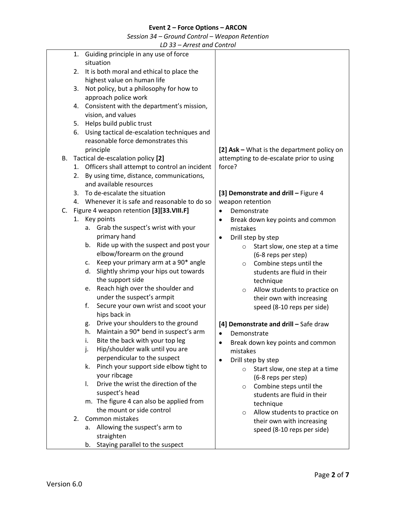*Session 34 – Ground Control – Weapon Retention*

*LD 33 – Arrest and Control*

<span id="page-1-0"></span>

|    |    | LD 33 – Arrest and Control                     |                                               |
|----|----|------------------------------------------------|-----------------------------------------------|
|    | 1. | Guiding principle in any use of force          |                                               |
|    |    | situation                                      |                                               |
|    | 2. | It is both moral and ethical to place the      |                                               |
|    |    | highest value on human life                    |                                               |
|    | 3. | Not policy, but a philosophy for how to        |                                               |
|    |    | approach police work                           |                                               |
|    | 4. | Consistent with the department's mission,      |                                               |
|    |    | vision, and values                             |                                               |
|    | 5. | Helps build public trust                       |                                               |
|    | 6. | Using tactical de-escalation techniques and    |                                               |
|    |    | reasonable force demonstrates this             |                                               |
|    |    | principle                                      | [2] Ask - What is the department policy on    |
|    |    | B. Tactical de-escalation policy [2]           | attempting to de-escalate prior to using      |
|    | 1. | Officers shall attempt to control an incident  | force?                                        |
|    | 2. | By using time, distance, communications,       |                                               |
|    |    | and available resources                        |                                               |
|    |    | 3. To de-escalate the situation                | [3] Demonstrate and drill - Figure 4          |
|    |    | 4. Whenever it is safe and reasonable to do so | weapon retention                              |
| C. |    | Figure 4 weapon retention [3][33.VIII.F]       | Demonstrate<br>$\bullet$                      |
|    |    | 1. Key points                                  | Break down key points and common<br>$\bullet$ |
|    |    | Grab the suspect's wrist with your<br>а.       | mistakes                                      |
|    |    | primary hand                                   | Drill step by step<br>$\bullet$               |
|    |    | Ride up with the suspect and post your<br>b.   | Start slow, one step at a time<br>$\circ$     |
|    |    | elbow/forearm on the ground                    | (6-8 reps per step)                           |
|    |    | Keep your primary arm at a 90* angle<br>c.     | Combine steps until the<br>$\circ$            |
|    |    | Slightly shrimp your hips out towards<br>d.    | students are fluid in their                   |
|    |    | the support side                               | technique                                     |
|    |    | Reach high over the shoulder and<br>e.         | Allow students to practice on<br>$\circ$      |
|    |    | under the suspect's armpit                     | their own with increasing                     |
|    |    | Secure your own wrist and scoot your<br>f.     | speed (8-10 reps per side)                    |
|    |    | hips back in                                   |                                               |
|    |    | Drive your shoulders to the ground<br>g.       | [4] Demonstrate and drill - Safe draw         |
|    |    | Maintain a 90* bend in suspect's arm<br>h.     | Demonstrate                                   |
|    |    | Bite the back with your top leg<br>i.          | Break down key points and common<br>$\bullet$ |
|    |    | Hip/shoulder walk until you are<br>j.          | mistakes                                      |
|    |    | perpendicular to the suspect                   | Drill step by step                            |
|    |    | Pinch your support side elbow tight to<br>k.   | Start slow, one step at a time<br>$\circ$     |
|    |    | your ribcage                                   | (6-8 reps per step)                           |
|    |    | Drive the wrist the direction of the<br>I.     | Combine steps until the<br>$\circ$            |
|    |    | suspect's head                                 | students are fluid in their                   |
|    |    | m. The figure 4 can also be applied from       | technique                                     |
|    |    | the mount or side control                      | Allow students to practice on<br>$\circ$      |
|    | 2. | Common mistakes                                | their own with increasing                     |
|    |    | Allowing the suspect's arm to<br>а.            | speed (8-10 reps per side)                    |
|    |    | straighten                                     |                                               |
|    |    | Staying parallel to the suspect<br>b.          |                                               |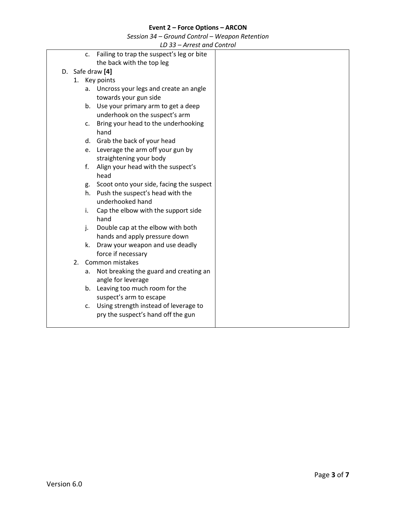*Session 34 – Ground Control – Weapon Retention*

*LD 33 – Arrest and Control*

<span id="page-2-0"></span>

| c.                    | Failing to trap the suspect's leg or bite |  |
|-----------------------|-------------------------------------------|--|
|                       | the back with the top leg                 |  |
| D. Safe draw [4]      |                                           |  |
|                       | 1. Key points                             |  |
|                       | a. Uncross your legs and create an angle  |  |
|                       | towards your gun side                     |  |
|                       | b. Use your primary arm to get a deep     |  |
|                       | underhook on the suspect's arm            |  |
| c.                    | Bring your head to the underhooking       |  |
|                       | hand                                      |  |
|                       | d. Grab the back of your head             |  |
|                       | e. Leverage the arm off your gun by       |  |
|                       | straightening your body                   |  |
| f.                    | Align your head with the suspect's        |  |
|                       | head                                      |  |
| g.                    | Scoot onto your side, facing the suspect  |  |
| h.                    | Push the suspect's head with the          |  |
|                       | underhooked hand                          |  |
| i.                    | Cap the elbow with the support side       |  |
|                       | hand                                      |  |
| j.                    | Double cap at the elbow with both         |  |
|                       | hands and apply pressure down             |  |
| k.                    | Draw your weapon and use deadly           |  |
|                       | force if necessary                        |  |
| Common mistakes<br>2. |                                           |  |
| а.                    | Not breaking the guard and creating an    |  |
|                       | angle for leverage                        |  |
|                       | b. Leaving too much room for the          |  |
|                       | suspect's arm to escape                   |  |
| c.                    | Using strength instead of leverage to     |  |
|                       | pry the suspect's hand off the gun        |  |
|                       |                                           |  |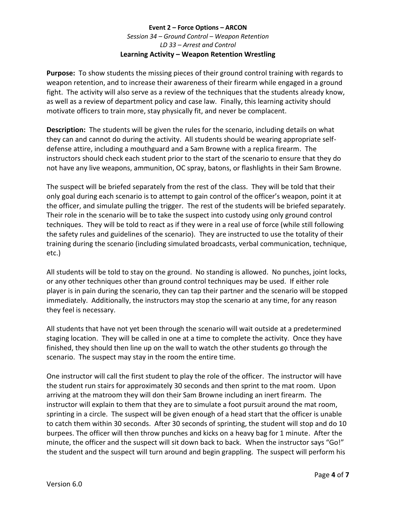## **Event 2 – Force Options – ARCON** *Session 34 – Ground Control – Weapon Retention LD 33 – Arrest and Control* **Learning Activity – Weapon Retention Wrestling**

**Purpose:** To show students the missing pieces of their ground control training with regards to weapon retention, and to increase their awareness of their firearm while engaged in a ground fight. The activity will also serve as a review of the techniques that the students already know, as well as a review of department policy and case law. Finally, this learning activity should motivate officers to train more, stay physically fit, and never be complacent.

**Description:** The students will be given the rules for the scenario, including details on what they can and cannot do during the activity. All students should be wearing appropriate selfdefense attire, including a mouthguard and a Sam Browne with a replica firearm. The instructors should check each student prior to the start of the scenario to ensure that they do not have any live weapons, ammunition, OC spray, batons, or flashlights in their Sam Browne.

The suspect will be briefed separately from the rest of the class. They will be told that their only goal during each scenario is to attempt to gain control of the officer's weapon, point it at the officer, and simulate pulling the trigger. The rest of the students will be briefed separately. Their role in the scenario will be to take the suspect into custody using only ground control techniques. They will be told to react as if they were in a real use of force (while still following the safety rules and guidelines of the scenario). They are instructed to use the totality of their training during the scenario (including simulated broadcasts, verbal communication, technique, etc.)

All students will be told to stay on the ground. No standing is allowed. No punches, joint locks, or any other techniques other than ground control techniques may be used. If either role player is in pain during the scenario, they can tap their partner and the scenario will be stopped immediately. Additionally, the instructors may stop the scenario at any time, for any reason they feel is necessary.

All students that have not yet been through the scenario will wait outside at a predetermined staging location. They will be called in one at a time to complete the activity. Once they have finished, they should then line up on the wall to watch the other students go through the scenario. The suspect may stay in the room the entire time.

One instructor will call the first student to play the role of the officer. The instructor will have the student run stairs for approximately 30 seconds and then sprint to the mat room. Upon arriving at the matroom they will don their Sam Browne including an inert firearm. The instructor will explain to them that they are to simulate a foot pursuit around the mat room, sprinting in a circle. The suspect will be given enough of a head start that the officer is unable to catch them within 30 seconds. After 30 seconds of sprinting, the student will stop and do 10 burpees. The officer will then throw punches and kicks on a heavy bag for 1 minute. After the minute, the officer and the suspect will sit down back to back. When the instructor says "Go!" the student and the suspect will turn around and begin grappling. The suspect will perform his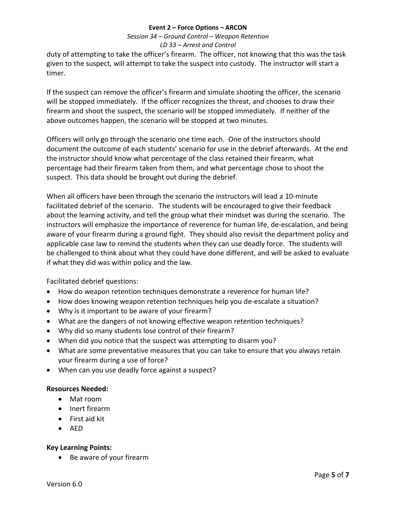# *Session 34 – Ground Control – Weapon Retention LD 33 – Arrest and Control*

duty of attempting to take the officer's firearm. The officer, not knowing that this was the task given to the suspect, will attempt to take the suspect into custody. The instructor will start a timer.

If the suspect can remove the officer's firearm and simulate shooting the officer, the scenario will be stopped immediately. If the officer recognizes the threat, and chooses to draw their firearm and shoot the suspect, the scenario will be stopped immediately. If neither of the above outcomes happen, the scenario will be stopped at two minutes.

Officers will only go through the scenario one time each. One of the instructors should document the outcome of each students' scenario for use in the debrief afterwards. At the end the instructor should know what percentage of the class retained their firearm, what percentage had their firearm taken from them, and what percentage chose to shoot the suspect. This data should be brought out during the debrief.

When all officers have been through the scenario the instructors will lead a 10-minute facilitated debrief of the scenario. The students will be encouraged to give their feedback about the learning activity, and tell the group what their mindset was during the scenario. The instructors will emphasize the importance of reverence for human life, de-escalation, and being aware of your firearm during a ground fight. They should also revisit the department policy and applicable case law to remind the students when they can use deadly force. The students will be challenged to think about what they could have done different, and will be asked to evaluate if what they did was within policy and the law.

Facilitated debrief questions:

- How do weapon retention techniques demonstrate a reverence for human life?
- How does knowing weapon retention techniques help you de-escalate a situation?
- Why is it important to be aware of your firearm?
- What are the dangers of not knowing effective weapon retention techniques?
- Why did so many students lose control of their firearm?
- When did you notice that the suspect was attempting to disarm you?
- What are some preventative measures that you can take to ensure that you always retain your firearm during a use of force?
- When can you use deadly force against a suspect?

# **Resources Needed:**

- Mat room
- Inert firearm
- First aid kit
- AED

### **Key Learning Points:**

• Be aware of your firearm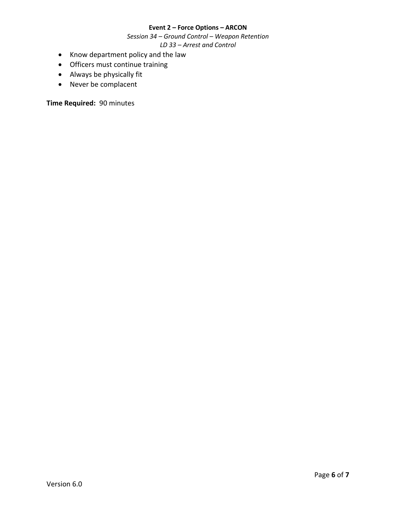*Session 34 – Ground Control – Weapon Retention LD 33 – Arrest and Control*

- Know department policy and the law
- Officers must continue training
- Always be physically fit
- Never be complacent

**Time Required:** 90 minutes